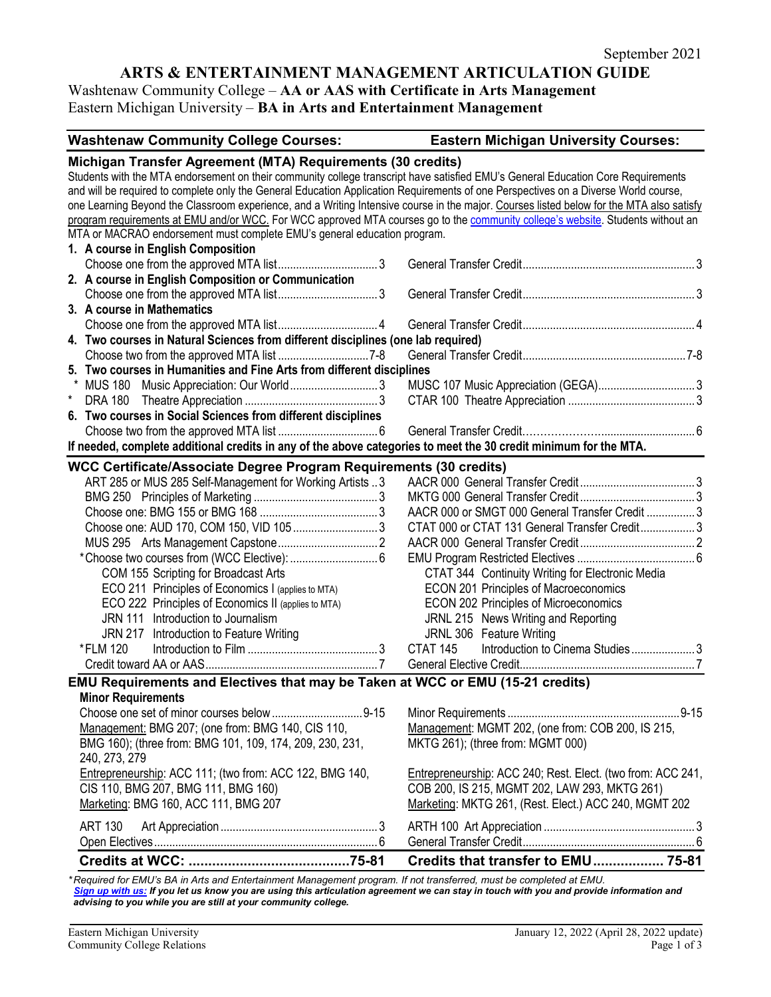# **ARTS & ENTERTAINMENT MANAGEMENT ARTICULATION GUIDE**

### Washtenaw Community College – **AA or AAS with Certificate in Arts Management** Eastern Michigan University – **BA in Arts and Entertainment Management**

| <b>Washtenaw Community College Courses:</b>                                                                                              | <b>Eastern Michigan University Courses:</b>                 |
|------------------------------------------------------------------------------------------------------------------------------------------|-------------------------------------------------------------|
| Michigan Transfer Agreement (MTA) Requirements (30 credits)                                                                              |                                                             |
| Students with the MTA endorsement on their community college transcript have satisfied EMU's General Education Core Requirements         |                                                             |
| and will be required to complete only the General Education Application Requirements of one Perspectives on a Diverse World course,      |                                                             |
| one Learning Beyond the Classroom experience, and a Writing Intensive course in the major. Courses listed below for the MTA also satisfy |                                                             |
| program requirements at EMU and/or WCC. For WCC approved MTA courses go to the community college's website. Students without an          |                                                             |
| MTA or MACRAO endorsement must complete EMU's general education program.                                                                 |                                                             |
| 1. A course in English Composition                                                                                                       |                                                             |
|                                                                                                                                          |                                                             |
| 2. A course in English Composition or Communication                                                                                      |                                                             |
|                                                                                                                                          |                                                             |
| 3. A course in Mathematics                                                                                                               |                                                             |
|                                                                                                                                          |                                                             |
| 4. Two courses in Natural Sciences from different disciplines (one lab required)                                                         |                                                             |
|                                                                                                                                          |                                                             |
| 5. Two courses in Humanities and Fine Arts from different disciplines                                                                    |                                                             |
| MUS 180 Music Appreciation: Our World3                                                                                                   |                                                             |
| $^{\star}$                                                                                                                               |                                                             |
| 6. Two courses in Social Sciences from different disciplines                                                                             |                                                             |
|                                                                                                                                          |                                                             |
| If needed, complete additional credits in any of the above categories to meet the 30 credit minimum for the MTA.                         |                                                             |
| <b>WCC Certificate/Associate Degree Program Requirements (30 credits)</b>                                                                |                                                             |
| ART 285 or MUS 285 Self-Management for Working Artists 3                                                                                 |                                                             |
|                                                                                                                                          |                                                             |
|                                                                                                                                          | AACR 000 or SMGT 000 General Transfer Credit  3             |
|                                                                                                                                          | CTAT 000 or CTAT 131 General Transfer Credit3               |
|                                                                                                                                          |                                                             |
|                                                                                                                                          |                                                             |
|                                                                                                                                          |                                                             |
| COM 155 Scripting for Broadcast Arts                                                                                                     | CTAT 344 Continuity Writing for Electronic Media            |
| ECO 211 Principles of Economics I (applies to MTA)                                                                                       | ECON 201 Principles of Macroeconomics                       |
| ECO 222 Principles of Economics II (applies to MTA)                                                                                      | ECON 202 Principles of Microeconomics                       |
| JRN 111 Introduction to Journalism                                                                                                       | JRNL 215 News Writing and Reporting                         |
| JRN 217 Introduction to Feature Writing                                                                                                  | JRNL 306 Feature Writing                                    |
| *FLM 120                                                                                                                                 | Introduction to Cinema Studies3<br>CTAT 145                 |
|                                                                                                                                          |                                                             |
| EMU Requirements and Electives that may be Taken at WCC or EMU (15-21 credits)                                                           |                                                             |
| <b>Minor Requirements</b>                                                                                                                |                                                             |
|                                                                                                                                          |                                                             |
| Management: BMG 207; (one from: BMG 140, CIS 110,                                                                                        | Management: MGMT 202, (one from: COB 200, IS 215,           |
| BMG 160); (three from: BMG 101, 109, 174, 209, 230, 231,                                                                                 | MKTG 261); (three from: MGMT 000)                           |
| 240, 273, 279                                                                                                                            |                                                             |
| Entrepreneurship: ACC 111; (two from: ACC 122, BMG 140,                                                                                  | Entrepreneurship: ACC 240; Rest. Elect. (two from: ACC 241, |
| CIS 110, BMG 207, BMG 111, BMG 160)                                                                                                      | COB 200, IS 215, MGMT 202, LAW 293, MKTG 261)               |
| Marketing: BMG 160, ACC 111, BMG 207                                                                                                     | Marketing: MKTG 261, (Rest. Elect.) ACC 240, MGMT 202       |
|                                                                                                                                          |                                                             |
| <b>ART 130</b>                                                                                                                           |                                                             |
|                                                                                                                                          |                                                             |
|                                                                                                                                          | Credits that transfer to EMU 75-81                          |

*\* Required for EMU's BA in Arts and Entertainment Management program. If not transferred, must be completed at EMU. [Sign up with us:](https://www.emich.edu/ccr/articulation-agreements/signup.php) If you let us know you are using this articulation agreement we can stay in touch with you and provide information and advising to you while you are still at your community college.*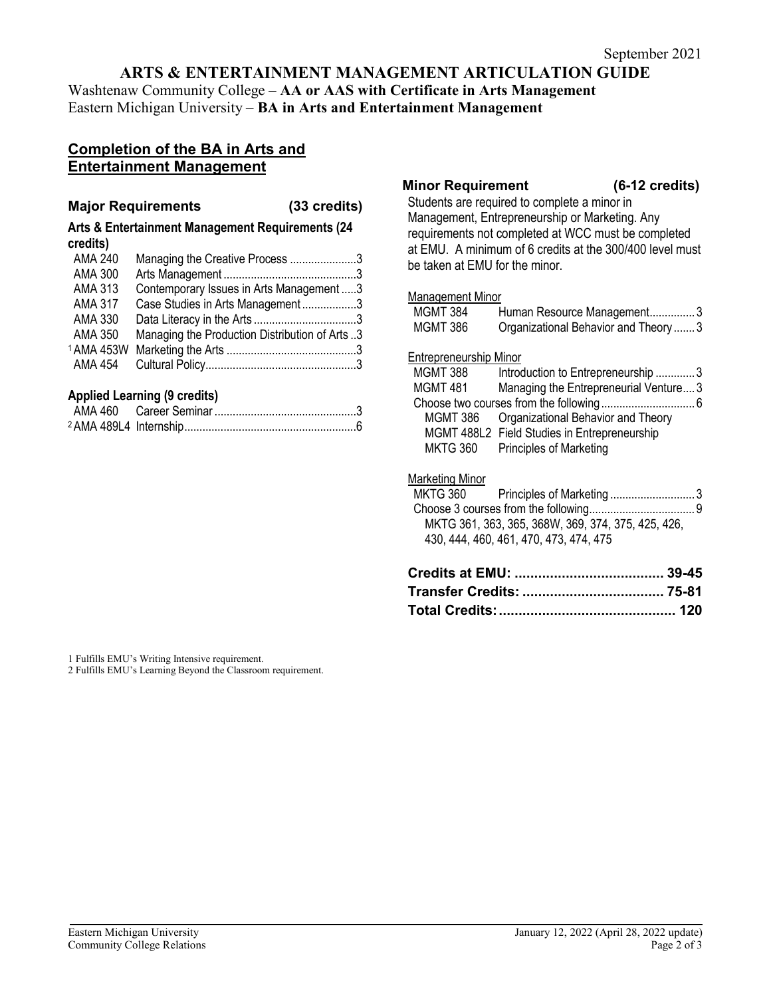# **ARTS & ENTERTAINMENT MANAGEMENT ARTICULATION GUIDE**

Washtenaw Community College – **AA or AAS with Certificate in Arts Management** Eastern Michigan University – **BA in Arts and Entertainment Management**

# **Completion of the BA in Arts and Entertainment Management**

#### **Major Requirements (33 credits)**

#### **Arts & Entertainment Management Requirements (24 credits)**

| <b>AMA 240</b> | Managing the Creative Process 3                |  |
|----------------|------------------------------------------------|--|
| <b>AMA 300</b> |                                                |  |
| AMA 313        | Contemporary Issues in Arts Management 3       |  |
| <b>AMA 317</b> | Case Studies in Arts Management3               |  |
| AMA 330        |                                                |  |
| <b>AMA 350</b> | Managing the Production Distribution of Arts 3 |  |
|                |                                                |  |
| AMA 454        |                                                |  |

### **Applied Learning (9 credits)**

#### **Minor Requirement (6-12 credits)**

Students are required to complete a minor in Management, Entrepreneurship or Marketing. Any requirements not completed at WCC must be completed at EMU. A minimum of 6 credits at the 300/400 level must be taken at EMU for the minor.

#### Management Minor

|                        | 430, 444, 460, 461, 470, 473, 474, 475             |  |
|------------------------|----------------------------------------------------|--|
|                        | MKTG 361, 363, 365, 368W, 369, 374, 375, 425, 426, |  |
|                        |                                                    |  |
| <b>Marketing Minor</b> |                                                    |  |
| <b>MKTG 360</b>        | <b>Principles of Marketing</b>                     |  |
|                        | MGMT 488L2 Field Studies in Entrepreneurship       |  |
| MGMT 386               | Organizational Behavior and Theory                 |  |
|                        |                                                    |  |
| MGMT 481               | Managing the Entrepreneurial Venture3              |  |
| <b>MGMT 388</b>        | Introduction to Entrepreneurship 3                 |  |
| Entrepreneurship Minor |                                                    |  |
| <b>MGMT 386</b>        | Organizational Behavior and Theory  3              |  |
| <b>MGMT 384</b>        | Human Resource Management3                         |  |
|                        |                                                    |  |

1 Fulfills EMU's Writing Intensive requirement.

2 Fulfills EMU's Learning Beyond the Classroom requirement.